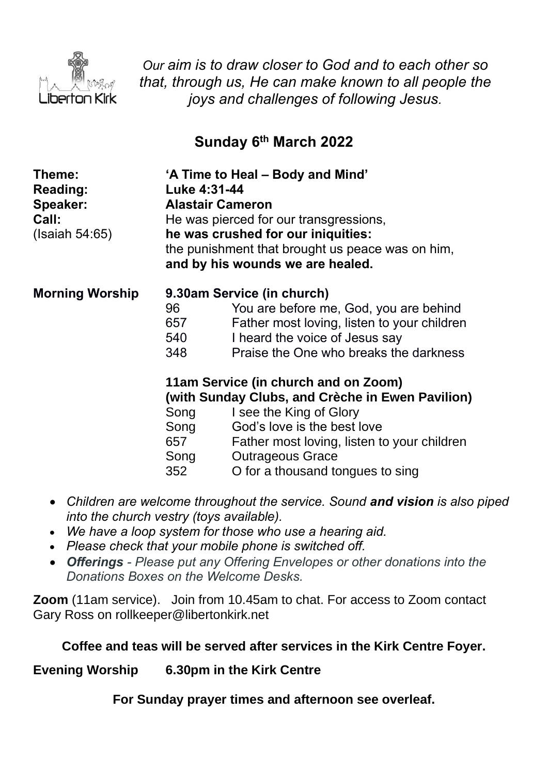

*Our aim is to draw closer to God and to each other so that, through us, He can make known to all people the joys and challenges of following Jesus.*

# **Sunday 6 th March 2022**

| Theme:<br><b>Reading:</b><br>Speaker:<br>Call:<br>(Isaiah 54:65) | 'A Time to Heal – Body and Mind'<br>Luke 4:31-44<br><b>Alastair Cameron</b><br>He was pierced for our transgressions,<br>he was crushed for our iniquities:<br>the punishment that brought us peace was on him,<br>and by his wounds we are healed. |                                                                                                                                                                                                                                                                  |
|------------------------------------------------------------------|-----------------------------------------------------------------------------------------------------------------------------------------------------------------------------------------------------------------------------------------------------|------------------------------------------------------------------------------------------------------------------------------------------------------------------------------------------------------------------------------------------------------------------|
| <b>Morning Worship</b>                                           | 96<br>657<br>540<br>348                                                                                                                                                                                                                             | 9.30am Service (in church)<br>You are before me, God, you are behind<br>Father most loving, listen to your children<br>I heard the voice of Jesus say<br>Praise the One who breaks the darkness                                                                  |
|                                                                  | Song<br>Song<br>657<br>Song<br>352                                                                                                                                                                                                                  | 11am Service (in church and on Zoom)<br>(with Sunday Clubs, and Crèche in Ewen Pavilion)<br>I see the King of Glory<br>God's love is the best love<br>Father most loving, listen to your children<br><b>Outrageous Grace</b><br>O for a thousand tongues to sing |

- *Children are welcome throughout the service. Sound and vision is also piped into the church vestry (toys available).*
- *We have a loop system for those who use a hearing aid.*
- *Please check that your mobile phone is switched off.*
- *Offerings - Please put any Offering Envelopes or other donations into the Donations Boxes on the Welcome Desks.*

**Zoom** (11am service).Join from 10.45am to chat. For access to Zoom contact Gary Ross on rollkeeper@libertonkirk.net

### **Coffee and teas will be served after services in the Kirk Centre Foyer.**

**Evening Worship 6.30pm in the Kirk Centre**

**For Sunday prayer times and afternoon see overleaf.**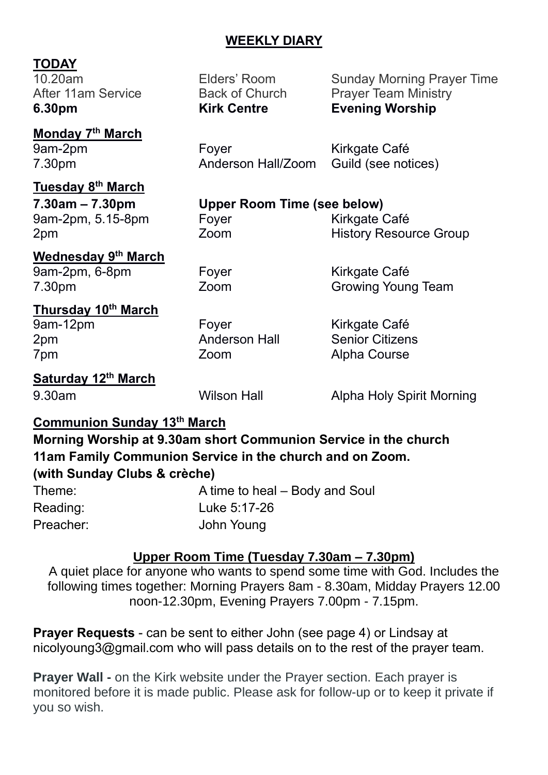### **WEEKLY DIARY**

### **TODAY**

**6.30pm Kirk Centre Evening Worship**

**Monday 7 th March**

**Tuesday 8 th March**

9am-2pm, 5.15-8pm Foyer Form Kirkgate Café

10.20am Elders' Room Sunday Morning Prayer Time After 11am Service **Back of Church Prayer Team Ministry** 

9am-2pm Foyer Form Kirkgate Café 7.30pm Anderson Hall/Zoom Guild (see notices)

## **7.30am – 7.30pm Upper Room Time (see below)**

2pm 2pm Zoom History Resource Group

# **Wednesday 9 th March**

9am-2pm, 6-8pm Foyer Form Kirkgate Café

**Thursday 10th March**

7.30pm Zoom Growing Young Team

9am-12pm Foyer Form Kirkgate Café 2pm Anderson Hall Senior Citizens 7pm Zoom Alpha Course

#### **Saturday 12th March**

9.30am Wilson Hall Alpha Holy Spirit Morning

### **Communion Sunday 13th March**

**Morning Worship at 9.30am short Communion Service in the church 11am Family Communion Service in the church and on Zoom.** 

### **(with Sunday Clubs & crèche)**

Theme: A time to heal – Body and Soul Reading: Luke 5:17-26 Preacher: John Young

### **Upper Room Time (Tuesday 7.30am – 7.30pm)**

A quiet place for anyone who wants to spend some time with God. Includes the following times together: Morning Prayers 8am - 8.30am, Midday Prayers 12.00 noon-12.30pm, Evening Prayers 7.00pm - 7.15pm.

**Prayer Requests** - can be sent to either John (see page 4) or Lindsay at [nicolyoung3@gmail.com](mailto:nicolyoung3@gmail.com) who will pass details on to the rest of the prayer team.

**Prayer Wall -** on the Kirk website under the Prayer section. Each prayer is monitored before it is made public. Please ask for follow-up or to keep it private if you so wish.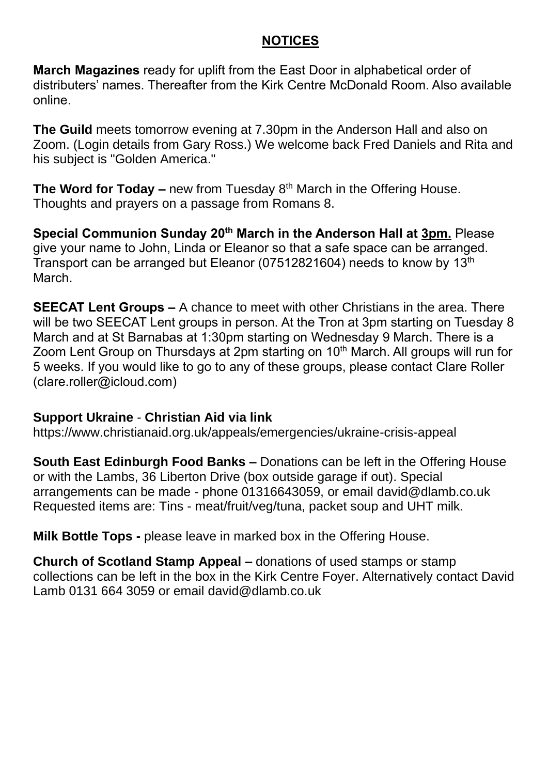#### **NOTICES**

**March Magazines** ready for uplift from the East Door in alphabetical order of distributers' names. Thereafter from the Kirk Centre McDonald Room. Also available online.

**The Guild** meets tomorrow evening at 7.30pm in the Anderson Hall and also on Zoom. (Login details from Gary Ross.) We welcome back Fred Daniels and Rita and his subject is "Golden America."

**The Word for Today** – new from Tuesday 8<sup>th</sup> March in the Offering House. Thoughts and prayers on a passage from Romans 8.

**Special Communion Sunday 20th March in the Anderson Hall at 3pm.** Please give your name to John, Linda or Eleanor so that a safe space can be arranged. Transport can be arranged but Eleanor (07512821604) needs to know by 13th March.

**SEECAT Lent Groups –** A chance to meet with other Christians in the area. There will be two SEECAT Lent groups in person. At the Tron at 3pm starting on Tuesday 8 March and at St Barnabas at 1:30pm starting on Wednesday 9 March. There is a Zoom Lent Group on Thursdays at 2pm starting on 10<sup>th</sup> March. All groups will run for 5 weeks. If you would like to go to any of these groups, please contact Clare Roller [\(clare.roller@icloud.com\)](mailto:clare.roller@icloud.com)

#### **Support Ukraine** - **Christian Aid via link**

<https://www.christianaid.org.uk/appeals/emergencies/ukraine-crisis-appeal>

**South East Edinburgh Food Banks –** Donations can be left in the Offering House or with the Lambs, 36 Liberton Drive (box outside garage if out). Special arrangements can be made - phone 01316643059, or email [david@dlamb.co.uk](mailto:david@dlamb.co.uk)  Requested items are: Tins - meat/fruit/veg/tuna, packet soup and UHT milk.

**Milk Bottle Tops -** please leave in marked box in the Offering House.

**Church of Scotland Stamp Appeal –** donations of used stamps or stamp collections can be left in the box in the Kirk Centre Foyer. Alternatively contact David Lamb 0131 664 3059 or email [david@dlamb.co.uk](mailto:david@dlamb.co.uk)